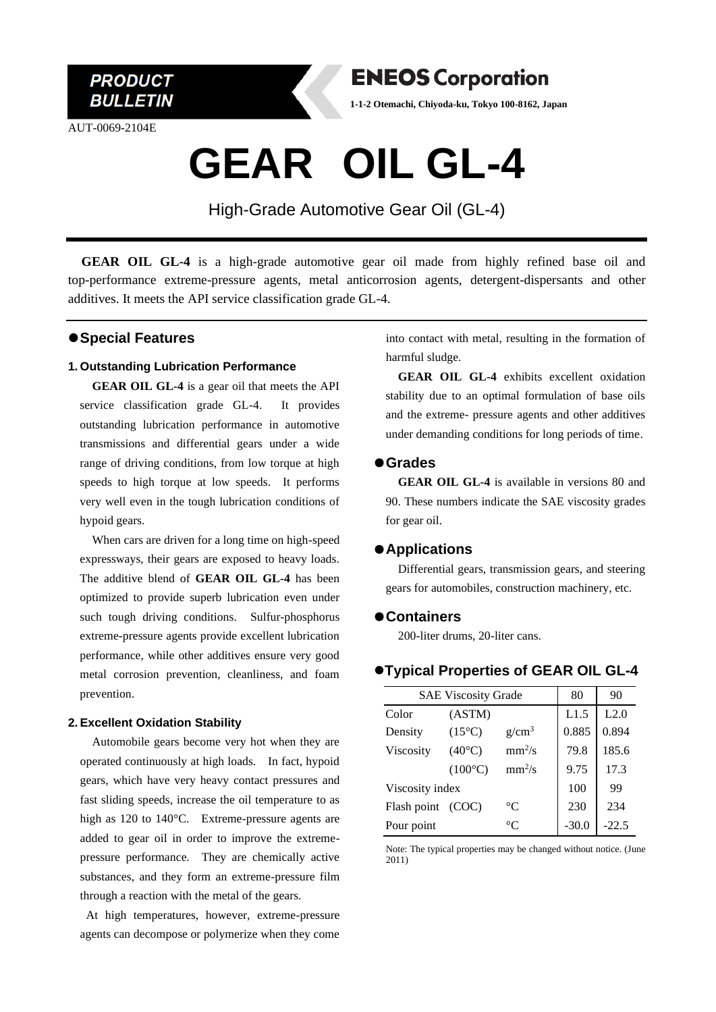

AUT-0069-2104E



**1-1-2 Otemachi, Chiyoda-ku, Tokyo 100-8162, Japan**

# **GEAR OIL GL-4**

High-Grade Automotive Gear Oil (GL-4)

**GEAR OIL GL-4** is a high-grade automotive gear oil made from highly refined base oil and top-performance extreme-pressure agents, metal anticorrosion agents, detergent-dispersants and other additives. It meets the API service classification grade GL-4.

# ⚫**Special Features**

#### **1. Outstanding Lubrication Performance**

**GEAR OIL GL-4** is a gear oil that meets the API service classification grade GL-4. It provides outstanding lubrication performance in automotive transmissions and differential gears under a wide range of driving conditions, from low torque at high speeds to high torque at low speeds. It performs very well even in the tough lubrication conditions of hypoid gears.

When cars are driven for a long time on high-speed expressways, their gears are exposed to heavy loads. The additive blend of **GEAR OIL GL-4** has been optimized to provide superb lubrication even under such tough driving conditions. Sulfur-phosphorus extreme-pressure agents provide excellent lubrication performance, while other additives ensure very good metal corrosion prevention, cleanliness, and foam prevention.

#### **2. Excellent Oxidation Stability**

Automobile gears become very hot when they are operated continuously at high loads. In fact, hypoid gears, which have very heavy contact pressures and fast sliding speeds, increase the oil temperature to as high as 120 to 140°C. Extreme-pressure agents are added to gear oil in order to improve the extremepressure performance. They are chemically active substances, and they form an extreme-pressure film through a reaction with the metal of the gears.

At high temperatures, however, extreme-pressure agents can decompose or polymerize when they come

into contact with metal, resulting in the formation of harmful sludge.

**GEAR OIL GL-4** exhibits excellent oxidation stability due to an optimal formulation of base oils and the extreme- pressure agents and other additives under demanding conditions for long periods of time.

### ⚫**Grades**

**GEAR OIL GL-4** is available in versions 80 and 90. These numbers indicate the SAE viscosity grades for gear oil.

### ⚫**Applications**

Differential gears, transmission gears, and steering gears for automobiles, construction machinery, etc.

#### ⚫**Containers**

200-liter drums, 20-liter cans.

# ⚫**Typical Properties of GEAR OIL GL-4**

| <b>SAE Viscosity Grade</b> |                  |             | 80      | 90      |
|----------------------------|------------------|-------------|---------|---------|
| Color                      | (ASTM)           |             | L1.5    | L2.0    |
| Density                    | $(15^{\circ}C)$  | $g/cm^3$    | 0.885   | 0.894   |
| <b>Viscosity</b>           | $(40^{\circ}C)$  | $mm^2/s$    | 79.8    | 185.6   |
|                            | $(100^{\circ}C)$ | $mm^2/s$    | 9.75    | 17.3    |
| Viscosity index            |                  |             | 100     | 99      |
| Flash point                | (COC)            | $^{\circ}C$ | 230     | 234     |
| Pour point                 |                  | $^{\circ}C$ | $-30.0$ | $-22.5$ |

Note: The typical properties may be changed without notice. (June 2011)